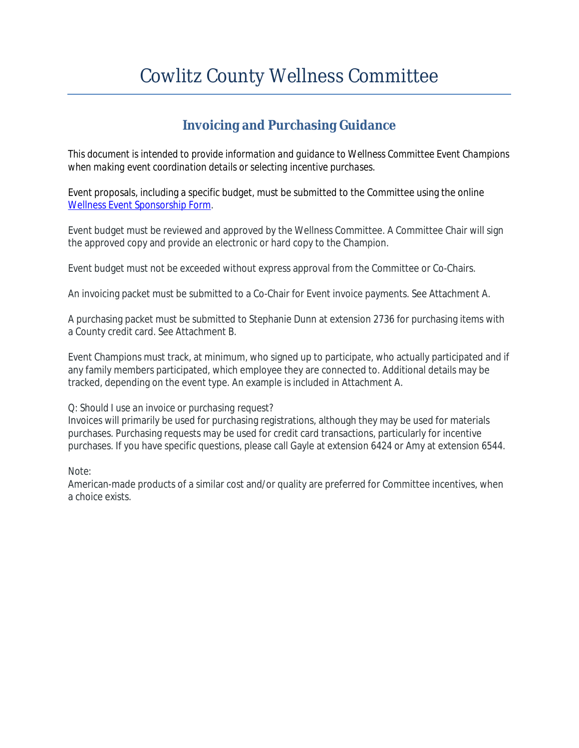## Cowlitz County Wellness Committee

## **Invoicing and Purchasing Guidance**

*This document is intended to provide information and guidance to Wellness Committee Event Champions when making event coordination details or selecting incentive purchases.*

Event proposals, including a specific budget, must be submitted to the Committee using the online [Wellness Event Sponsorship Form](http://www.co.cowlitz.wa.us/FormCenter/Public-Works-24/Wellness-Event-Sponsorship-Form-94).

Event budget must be reviewed and approved by the Wellness Committee. A Committee Chair will sign the approved copy and provide an electronic or hard copy to the Champion.

Event budget must not be exceeded without express approval from the Committee or Co-Chairs.

An invoicing packet must be submitted to a Co-Chair for Event invoice payments. See Attachment A.

A purchasing packet must be submitted to Stephanie Dunn at extension 2736 for purchasing items with a County credit card. See Attachment B.

Event Champions must track, at minimum, who signed up to participate, who actually participated and if any family members participated, which employee they are connected to. Additional details may be tracked, depending on the event type. An example is included in Attachment A.

#### *Q: Should I use an invoice or purchasing request?*

Invoices will primarily be used for purchasing registrations, although they may be used for materials purchases. Purchasing requests may be used for credit card transactions, particularly for incentive purchases. If you have specific questions, please call Gayle at extension 6424 or Amy at extension 6544.

#### *Note:*

American-made products of a similar cost and/or quality are preferred for Committee incentives, when a choice exists.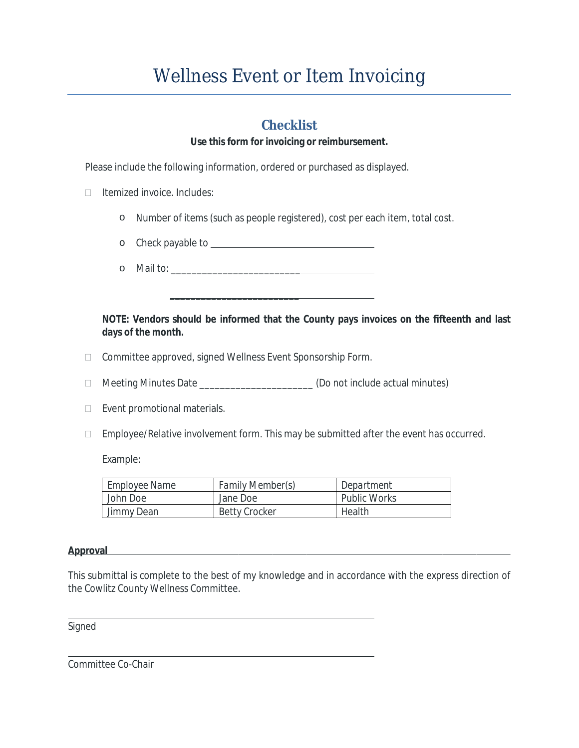## Wellness Event or Item Invoicing

### **Checklist**

#### **Use this form for invoicing or reimbursement.**

Please include the following information, ordered or purchased as displayed.

- $\Box$  Itemized invoice. Includes:
	- o Number of items (such as people registered), cost per each item, total cost.

 $\frac{1}{\sqrt{2}}$  ,  $\frac{1}{\sqrt{2}}$  ,  $\frac{1}{\sqrt{2}}$  ,  $\frac{1}{\sqrt{2}}$  ,  $\frac{1}{\sqrt{2}}$  ,  $\frac{1}{\sqrt{2}}$  ,  $\frac{1}{\sqrt{2}}$  ,  $\frac{1}{\sqrt{2}}$  ,  $\frac{1}{\sqrt{2}}$  ,  $\frac{1}{\sqrt{2}}$  ,  $\frac{1}{\sqrt{2}}$  ,  $\frac{1}{\sqrt{2}}$  ,  $\frac{1}{\sqrt{2}}$  ,  $\frac{1}{\sqrt{2}}$  ,  $\frac{1}{\sqrt{2}}$ 

- o Check payable to
- $\circ$  Mail to:

#### **NOTE: Vendors should be informed that the County pays invoices on the fifteenth and last days of the month.**

- □ Committee approved, signed Wellness Event Sponsorship Form.
- □ Meeting Minutes Date \_\_\_\_\_\_\_\_\_\_\_\_\_\_\_\_\_\_\_\_\_(Do not include actual minutes)
- $\Box$  Event promotional materials.
- $\Box$  Employee/Relative involvement form. This may be submitted after the event has occurred.

Example:

| <b>Employee Name</b> | <b>Family Member(s)</b> | Department   |
|----------------------|-------------------------|--------------|
| John Doe             | Jane Doe                | Public Works |
| Jimmy Dean           | <b>Betty Crocker</b>    | Health       |

#### **Approval**

This submittal is complete to the best of my knowledge and in accordance with the express direction of the Cowlitz County Wellness Committee.

Signed

 $\overline{a}$ 

Committee Co-Chair